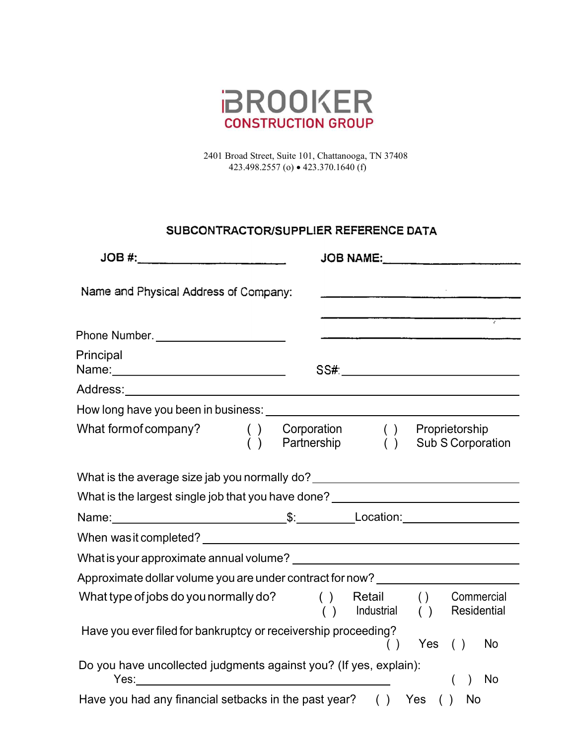

2401 Broad Street, Suite 101, Chattanooga, TN 37408 423.498.2557 (o) 423.370.1640 (f)

## SUBCONTRACTOR/SUPPLIER REFERENCE DATA

| Name and Physical Address of Company:                                            |                                    |               |           | <u> 1989 - Johann Harry Harry Harry Harry Harry Harry Harry Harry Harry Harry Harry Harry Harry Harry Harry Harry</u> |
|----------------------------------------------------------------------------------|------------------------------------|---------------|-----------|-----------------------------------------------------------------------------------------------------------------------|
| Phone Number.                                                                    |                                    |               |           |                                                                                                                       |
| Principal<br>Name:_______________________________                                |                                    |               |           |                                                                                                                       |
|                                                                                  |                                    |               |           |                                                                                                                       |
|                                                                                  |                                    |               |           |                                                                                                                       |
| What form of company?<br>$\begin{pmatrix} 1 \\ 0 \end{pmatrix}$                  | Corporation ( )<br>Partnership ( ) |               |           | Proprietorship<br>Sub S Corporation                                                                                   |
| What is the average size jab you normally do? __________________________________ |                                    |               |           |                                                                                                                       |
| What is the largest single job that you have done? _____________________________ |                                    |               |           |                                                                                                                       |
|                                                                                  |                                    |               |           |                                                                                                                       |
|                                                                                  |                                    |               |           |                                                                                                                       |
|                                                                                  |                                    |               |           |                                                                                                                       |
| Approximate dollar volume you are under contract for now? ______________________ |                                    |               |           |                                                                                                                       |
| What type of jobs do you normally do?                                            | ( ) Retail ( )<br>( )              | Industrial () |           | Commercial<br>Residential                                                                                             |
| Have you ever filed for bankruptcy or receivership proceeding?                   |                                    |               | Yes $( )$ | No                                                                                                                    |
| Do you have uncollected judgments against you? (If yes, explain):                |                                    |               |           | No                                                                                                                    |
| Have you had any financial setbacks in the past year? $( )$ Yes $( )$            |                                    |               |           | <b>No</b>                                                                                                             |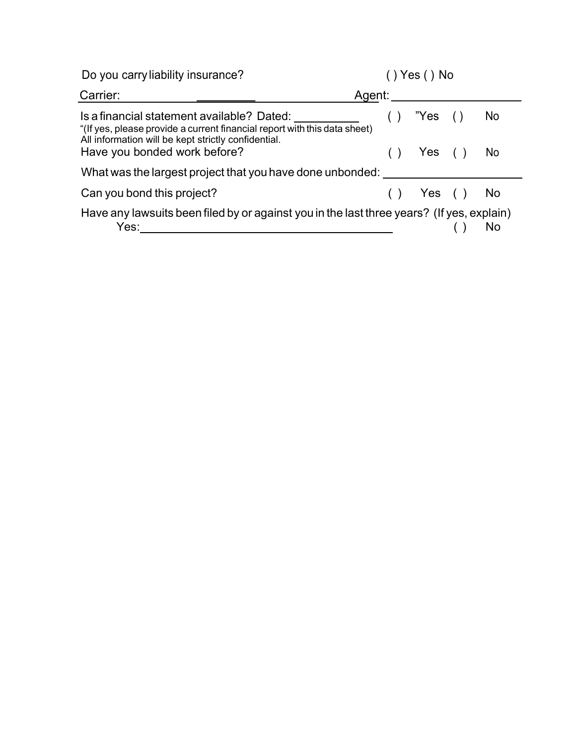| Do you carry liability insurance?                                                                                                                                              | Yes() No         |
|--------------------------------------------------------------------------------------------------------------------------------------------------------------------------------|------------------|
| Carrier:                                                                                                                                                                       | Agent:           |
| Is a financial statement available? Dated:<br>"(If yes, please provide a current financial report with this data sheet)<br>All information will be kept strictly confidential. | "Yes<br>No.      |
| Have you bonded work before?                                                                                                                                                   | No<br>Yes        |
| What was the largest project that you have done unbonded:                                                                                                                      |                  |
| Can you bond this project?                                                                                                                                                     | Yes<br><b>No</b> |
| Have any lawsuits been filed by or against you in the last three years? (If yes, explain)<br>Yes:                                                                              | No               |
|                                                                                                                                                                                |                  |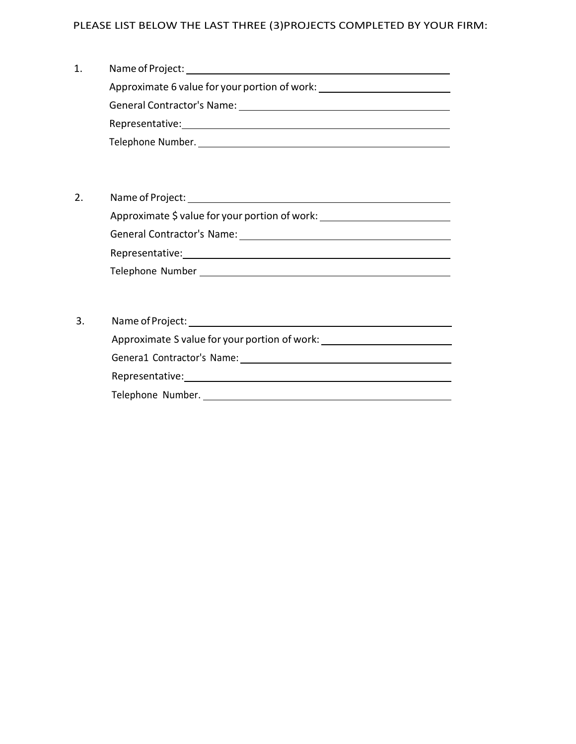## PLEASE LIST BELOW THE LAST THREE (3)PROJECTS COMPLETED BY YOUR FIRM:

| 1. | Name of Project:                              |  |  |  |  |  |
|----|-----------------------------------------------|--|--|--|--|--|
|    | Approximate 6 value for your portion of work: |  |  |  |  |  |
|    | <b>General Contractor's Name:</b>             |  |  |  |  |  |
|    | Representative:                               |  |  |  |  |  |
|    | Telephone Number.                             |  |  |  |  |  |

- 2. Name of Project: Approximate \$ value for your portion of work: \_\_\_\_\_\_\_\_\_\_\_\_\_\_\_\_\_\_\_\_\_\_\_\_\_\_\_\_\_\_\_\_\_\_ General Contractor's Name: Manual Contractor's Name: Manual Contractor's Name: Manual Contractor's Name: Manual Contractor's Name: Manual Contractor's Name: Manual Contractor's Name: Manual Contractor's Name: Manual Contra Representative: Telephone Number
- 3. Name of Project: Approximate S value for your portion of work: Genera1 Contractor's Name: 1988 Representative: Telephone Number.